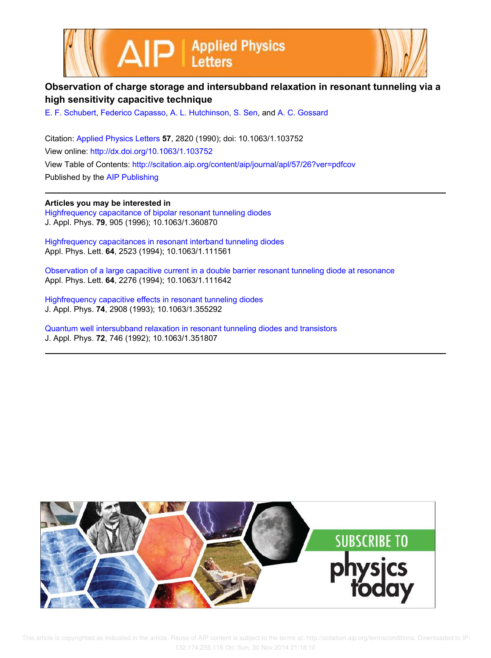



## **Observation of charge storage and intersubband relaxation in resonant tunneling via a high sensitivity capacitive technique**

E. F. Schubert, Federico Capasso, A. L. Hutchinson, S. Sen, and A. C. Gossard

Citation: Applied Physics Letters **57**, 2820 (1990); doi: 10.1063/1.103752 View online: http://dx.doi.org/10.1063/1.103752 View Table of Contents: http://scitation.aip.org/content/aip/journal/apl/57/26?ver=pdfcov Published by the AIP Publishing

**Articles you may be interested in**

Highfrequency capacitance of bipolar resonant tunneling diodes J. Appl. Phys. **79**, 905 (1996); 10.1063/1.360870

Highfrequency capacitances in resonant interband tunneling diodes Appl. Phys. Lett. **64**, 2523 (1994); 10.1063/1.111561

Observation of a large capacitive current in a double barrier resonant tunneling diode at resonance Appl. Phys. Lett. **64**, 2276 (1994); 10.1063/1.111642

Highfrequency capacitive effects in resonant tunneling diodes J. Appl. Phys. **74**, 2908 (1993); 10.1063/1.355292

Quantum well intersubband relaxation in resonant tunneling diodes and transistors J. Appl. Phys. **72**, 746 (1992); 10.1063/1.351807



 This article is copyrighted as indicated in the article. Reuse of AIP content is subject to the terms at: http://scitation.aip.org/termsconditions. Downloaded to IP: 132.174.255.116 On: Sun, 30 Nov 2014 21:18:10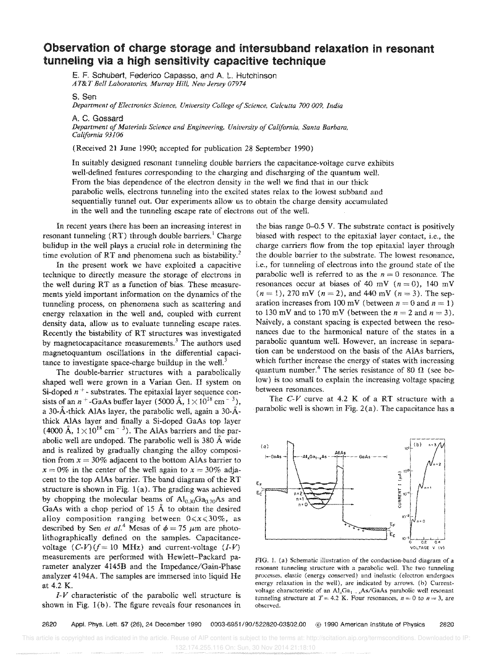## **Observation of charge storage and intersubband relaxation in resonant tunneling via a high sensitivity capacitive technique**

E. F, Schubert, Federico Capasso, and A L Hutchinson *AT&T Bell Laboratories, Murray Hill, New Jersey 07974* 

S, Sen

*Department of Electronics Science, University College of Science, Calcutta 700 009, India* 

A C. Gossard

Department of Materials Science and Engineering, University of California, Santa Barbara, *California 93106* 

(Received 21 June 1990; accepted for publication 28 September 1990)

In suitably designed resonant tunneling double barriers the capacitance-voltage curve exhibits well-defined features corresponding to the charging and discharging of the quantum well. From the bias dependence of the electron density in the well we find that in our thick parabolic wells, electrons tunneling into the excited states relax to the lowest subband and sequentially tunnel out. Our experiments allow us to obtain the charge density accumulated in the well and the tunneling escape rate of electrons out of the well.

In recent years there has been an increasing interest in resonant tunneling  $(RT)$  through double barriers.<sup>1</sup> Charge bulidup in the well plays a crucial role in determining the time evolution of RT and phenomena such as bistability.<sup>2</sup>

In the present work we have exploited a capacitive technique to directly measure the storage of electrons in the well during RT as a function of bias. These measurements yield important information on the dynamics of the tunneling process, on phenomena such as scattering and energy relaxation in the well and, coupled with current density data, allow us to evaluate tunneling escape rates. Recently the bistability of RT structures was investigated by magnetocapacitance measurements.<sup>3</sup> The authors used magnetoquantum oscillations in the differential capacitance to investigate space-charge buildup in the well.<sup>3</sup>

The double-barrier structures with a parabolically shaped well were grown in a Varian Gen. II system on Si-doped  $n^+$ - substrates. The epitaxial layer sequence consists of an  $n^+$ -GaAs buffer layer (5000 Å,  $1 \times 10^{18}$  cm<sup>-3</sup>), a 30-A-thick AlAs layer, the parabolic well, again a *30-A.* thick AlAs layer and finally a Si-doped GaAs top layer (4000 Å,  $1 \times 10^{18}$  cm<sup>-3</sup>). The AlAs barriers and the parabolic well are undoped. The parabolic well is 380 Å wide and is realized by gradually changing the aHoy composition from  $x = 30\%$  adjacent to the bottom AlAs barrier to  $x = 0\%$  in the center of the well again to  $x = 30\%$  adjacent to the top AlAs barrier. The band diagram of the RT structure is shown in Fig.  $1(a)$ . The grading was achieved by chopping the molecular beams of  $Al_{0,30}Ga_{0,70}As$  and GaAs with a chop period of 15 A to obtain the desired aHoy composition ranging between *0<x<30%,* as described by Sen *et al.*<sup>4</sup> Mesas of  $\phi = 75 \mu m$  are photolithographically defined on the samples, Capacitancevoltage  $(C-V)(f = 10 MHz)$  and current-voltage  $(I-V)$ measurements are performed with Hewlett-Packard parameter analyzer 4145B and the Impedance/Gain-Phase analyzer 4194A. The samples are immersed into liquid He at 4.2 K.

/-V characteristic of the parabolic well structure is shown in Fig.  $1(b)$ . The figure reveals four resonances in the bias range 0-0.5 Y, The substrate contact is positively biased with respect to the epitaxial layer contact, i.e., the charge carriers flow from the top epitaxial layer through the double barrier to the substrate. The lowest resonance, i.e., for tunneling of electrons into the ground state of the parabolic well is referred to as the  $n = 0$  resonance. The resonances occur at biases of 40 mV ( $n = 0$ ), 140 mV  $(n = 1)$ , 270 mV  $(n = 2)$ , and 440 mV  $(n = 3)$ . The separation increases from 100 mV (between  $n = 0$  and  $n = 1$ ) to 130 mV and to 170 mV (between the  $n = 2$  and  $n = 3$ ). Naively, a constant spacing is expected between the resonances due to the harmonical nature of the states in a parabolic quantum well. However, an increase in separation can be understood on the basis of the AlAs barriers, which further increase the energy of states with increasing quantum number.<sup>4</sup> The series resistance of 80  $\Omega$  (see below) is too small to explain the increasing voltage spacing between resonances.

The  $C-V$  curve at 4.2 K of a RT structure with a parabolic well is shown in Fig.  $2(a)$ . The capacitance has a



FIG, L (a) Schematic illustration of the conduction-band diagram of a resonant tunneling structure with a parabolic well. The two tunneling processes, elastic (energy conserved) and inelastic (electron undergoes energy relaxation in the well), are indicated by arrows, (b) Currentvoltage characteristic of an  $AI<sub>x</sub>Ga<sub>1...x</sub>As/GaAs parabolic well resonant$ tunneling structure at  $T = 4.2$  K. Four resonances,  $n = 0$  to  $n = 3$ , are ohserved,

*2820* AppL Phys, Lett 57 (26), 24 December 1990 *0003·6951/90/522820-03\$02,00* © 1990 American institute of Physics 2820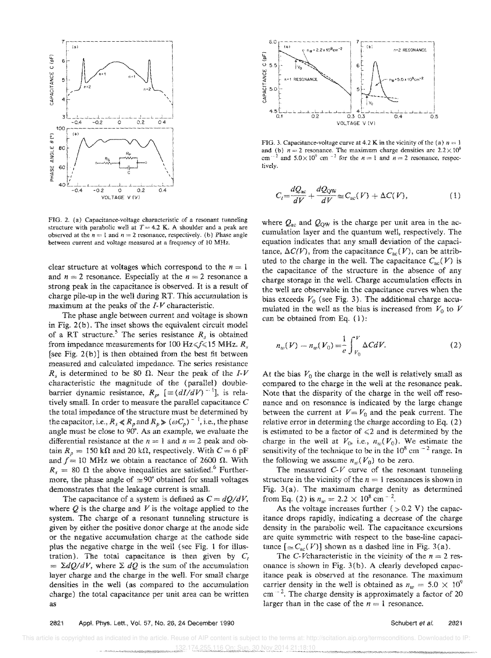

FIG. 2. (a) Capacitance-voltage characteristic of a resonant tunneling structure with parabolic well at  $T = 4.2$  K. A shoulder and a peak are observed at the  $n = 1$  and  $n = 2$  resonance, respectively. (b) Phase angle between current and voltage measured at a frequency of 10 MHz.

clear structure at voltages which correspond to the  $n = 1$ and  $n = 2$  resonance. Especially at the  $n = 2$  resonance a strong peak in the capacitance is observed. It is a result of charge pile-up in the well during RT This accumulation is maximum at the peaks of the  $I-V$  characteristic.

The phase angle between current and voltage is shown in Fig. 2(b). The inset shows the equivalent circuit model of a RT structure.<sup>5</sup> The series resistance  $R<sub>s</sub>$  is obtained from impedance measurements for 100 Hz  $\leq f \leq 15$  MHz.  $R<sub>s</sub>$ [see Fig.  $2(b)$ ] is then obtained from the best fit between measured and calculated impedance. The series resistance  $R<sub>s</sub>$  is determined to be 80  $\Omega$ . Near the peak of the *I-V* characteristic the magnitude of the (parallel) doublebarrier dynamic resistance,  $R_p$ ,  $[\equiv (dI/dV)^{-1}]$ , is relatively small. In order to measure the parallel capacitance  $C$ the total impedance of the structure must be determined by the capacitor, i.e.,  $R_s \ll R_p$  and  $R_p \gg (\omega C_p)^{-1}$ , i.e., the phase angle must be close to 90°. As an example, we evaluate the differential resistance at the  $n = 1$  and  $n = 2$  peak and obtain  $R_p = 150 \text{ k}\Omega$  and 20 k $\Omega$ , respectively. With  $C = 6 \text{ pF}$ and  $f = 10$  MHz we obtain a reactance of 2600  $\Omega$ . With  $R_s = 80 \Omega$  the above inequalities are satisfied.<sup>6</sup> Furthermore, the phase angle of  $\approx 90^{\circ}$  obtained for small voltages demonstrates that the leakage current is small.

The capacitance of a system is defined as  $C = dQ/dV$ , where  $Q$  is the charge and  $V$  is the voltage applied to the system. The charge of a resonant tunneling structure is given by either the positive donor charge at the anode side or the negative accumulation charge at the cathode side plus the negative charge in the well (see Fig. 1 for illustration). The total capacitance is then given by  $C<sub>t</sub>$  $= \Sigma dQ/dV$ , where  $\Sigma dQ$  is the sum of the accumulation layer charge and the charge in the well. For small charge densities in the well (as compared to the accumulation charge) the total capacitance per unit area can be written as



FIG. 3. Capacitance-voltage curve at 4.2 K in the vicinity of the (a)  $n = 1$ and (b)  $n = 2$  resonance. The maximum charge densities are  $2.2 \times 10^8$  $cm^{-2}$  and  $5.0 \times 10^9$  cm<sup>-2</sup> for the  $n = 1$  and  $n = 2$  resonance, respectively.

$$
C_t = \frac{dQ_{\text{ac}}}{dV} + \frac{dQ_{\text{QW}}}{dV} \cong C_{\text{ac}}(V) + \Delta C(V),\tag{1}
$$

where  $Q_{ac}$  and  $Q_{QW}$  is the charge per unit area in the accumulation layer and the quantum well, respectively. The equation indicates that any small deviation of the capacitance,  $\Delta C(V)$ , from the capacitance  $C_{\text{ac}}(V)$ , can be attributed to the charge in the well. The capacitance  $C_{ac}(V)$  is the capacitance of the structure in the absence of any charge storage in the well. Charge accumulation effects in the well are observable in the capacitance curves when the bias exceeds  $V_0$  (see Fig. 3). The additional charge accumulated in the well as the bias is increased from  $V_0$  to  $V$ can be obtained from Eq. (1):

$$
n_w(V) - n_w(V_0) = \frac{1}{e} \int_{V_0}^{V} \Delta C dV.
$$
 (2)

At the bias  $V_0$  the charge in the well is relatively small as compared to the charge in the well at the resonance peak. Note that the disparity of the charge in the well off resonance and on resonance is indicated by the large change between the current at  $V = V_0$  and the peak current. The relative error in determing the charge according to Eq. (2) is estimated to be a factor of  $\leq 2$  and is determined by the charge in the well at  $V_0$ , i.e.,  $n_w(V_0)$ . We estimate the sensitivity of the technique to be in the  $10^8$  cm<sup> $-2$ </sup> range. In the following we assume  $n_w(V_0)$  to be zero.

The measured  $C-V$  curve of the resonant tunneling structure in the vicinity of the  $n = 1$  resonances is shown in Fig.  $3(a)$ . The maximum charge denity as determined from Eq. (2) is  $n_w = 2.2 \times 10^8$  cm<sup>-2</sup>.

As the voltage increases further  $( > 0.2 V)$  the capacitance drops rapidly, indicating a decrease of the charge density in the parabolic well. The capacitance excursions are quite symmetric with respect to the base-line capacitance  $[\simeq C_{ac}(V)]$  shown as a dashed line in Fig. 3(a).

The C-Vcharacteristic in the vicinity of the  $n = 2$  resonance is shown in Fig. 3 (b). A clearly developed capacitance peak is observed at the resonance. The maximum carrier density in the well is obtained as  $n_w = 5.0 \times 10^9$  $cm<sup>-2</sup>$ . The charge density is approximately a factor of 20 larger than in the case of the  $n = 1$  resonance.

## 2821 Appl. Phys. Lett., Vol. 57, No. 26, 24 December 1990